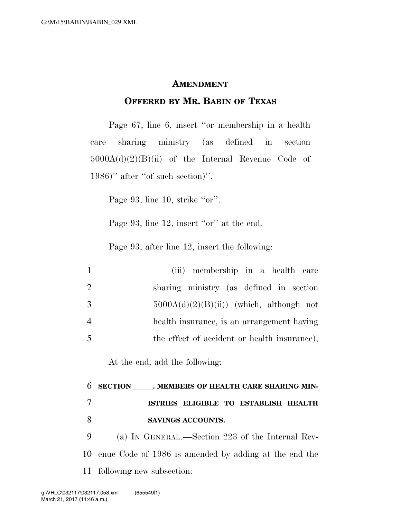## **AMENDMENT**

## **OFFERED BY MR. BABIN OF TEXAS**

Page 67, line 6, insert ''or membership in a health care sharing ministry (as defined in section  $5000A(d)(2)(B)(ii)$  of the Internal Revenue Code of 1986)'' after ''of such section)''.

Page 93, line 10, strike "or".

Page 93, line 12, insert "or" at the end.

Page 93, after line 12, insert the following:

| $\mathbf{1}$   | (iii) membership in a health care            |
|----------------|----------------------------------------------|
| 2              | sharing ministry (as defined in section      |
| 3              | $5000A(d)(2)(B(ii))$ (which, although not    |
| $\overline{4}$ | health insurance, is an arrangement having   |
| 5              | the effect of accident or health insurance), |

At the end, add the following:

## 6 SECTION MEMBERS OF HEALTH CARE SHARING MIN-7 **ISTRIES ELIGIBLE TO ESTABLISH HEALTH**  8 **SAVINGS ACCOUNTS.**

9 (a) IN GENERAL.—Section 223 of the Internal Rev-10 enue Code of 1986 is amended by adding at the end the 11 following new subsection: